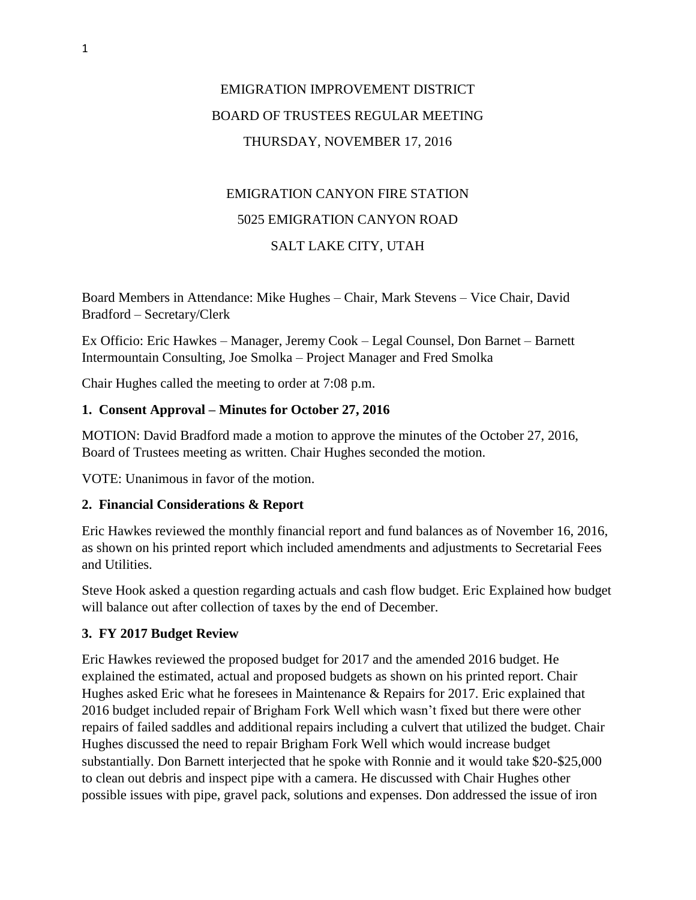# EMIGRATION IMPROVEMENT DISTRICT BOARD OF TRUSTEES REGULAR MEETING THURSDAY, NOVEMBER 17, 2016

# EMIGRATION CANYON FIRE STATION 5025 EMIGRATION CANYON ROAD SALT LAKE CITY, UTAH

Board Members in Attendance: Mike Hughes – Chair, Mark Stevens – Vice Chair, David Bradford – Secretary/Clerk

Ex Officio: Eric Hawkes – Manager, Jeremy Cook – Legal Counsel, Don Barnet – Barnett Intermountain Consulting, Joe Smolka – Project Manager and Fred Smolka

Chair Hughes called the meeting to order at 7:08 p.m.

### **1. Consent Approval – Minutes for October 27, 2016**

MOTION: David Bradford made a motion to approve the minutes of the October 27, 2016, Board of Trustees meeting as written. Chair Hughes seconded the motion.

VOTE: Unanimous in favor of the motion.

#### **2. Financial Considerations & Report**

Eric Hawkes reviewed the monthly financial report and fund balances as of November 16, 2016, as shown on his printed report which included amendments and adjustments to Secretarial Fees and Utilities.

Steve Hook asked a question regarding actuals and cash flow budget. Eric Explained how budget will balance out after collection of taxes by the end of December.

## **3. FY 2017 Budget Review**

Eric Hawkes reviewed the proposed budget for 2017 and the amended 2016 budget. He explained the estimated, actual and proposed budgets as shown on his printed report. Chair Hughes asked Eric what he foresees in Maintenance & Repairs for 2017. Eric explained that 2016 budget included repair of Brigham Fork Well which wasn't fixed but there were other repairs of failed saddles and additional repairs including a culvert that utilized the budget. Chair Hughes discussed the need to repair Brigham Fork Well which would increase budget substantially. Don Barnett interjected that he spoke with Ronnie and it would take \$20-\$25,000 to clean out debris and inspect pipe with a camera. He discussed with Chair Hughes other possible issues with pipe, gravel pack, solutions and expenses. Don addressed the issue of iron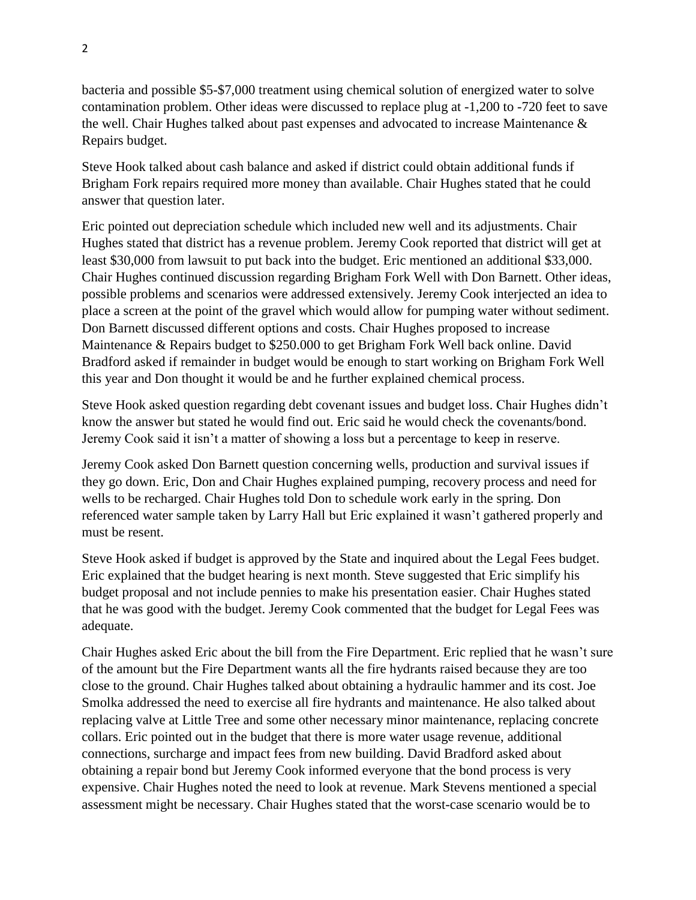bacteria and possible \$5-\$7,000 treatment using chemical solution of energized water to solve contamination problem. Other ideas were discussed to replace plug at -1,200 to -720 feet to save the well. Chair Hughes talked about past expenses and advocated to increase Maintenance & Repairs budget.

Steve Hook talked about cash balance and asked if district could obtain additional funds if Brigham Fork repairs required more money than available. Chair Hughes stated that he could answer that question later.

Eric pointed out depreciation schedule which included new well and its adjustments. Chair Hughes stated that district has a revenue problem. Jeremy Cook reported that district will get at least \$30,000 from lawsuit to put back into the budget. Eric mentioned an additional \$33,000. Chair Hughes continued discussion regarding Brigham Fork Well with Don Barnett. Other ideas, possible problems and scenarios were addressed extensively. Jeremy Cook interjected an idea to place a screen at the point of the gravel which would allow for pumping water without sediment. Don Barnett discussed different options and costs. Chair Hughes proposed to increase Maintenance & Repairs budget to \$250.000 to get Brigham Fork Well back online. David Bradford asked if remainder in budget would be enough to start working on Brigham Fork Well this year and Don thought it would be and he further explained chemical process.

Steve Hook asked question regarding debt covenant issues and budget loss. Chair Hughes didn't know the answer but stated he would find out. Eric said he would check the covenants/bond. Jeremy Cook said it isn't a matter of showing a loss but a percentage to keep in reserve.

Jeremy Cook asked Don Barnett question concerning wells, production and survival issues if they go down. Eric, Don and Chair Hughes explained pumping, recovery process and need for wells to be recharged. Chair Hughes told Don to schedule work early in the spring. Don referenced water sample taken by Larry Hall but Eric explained it wasn't gathered properly and must be resent.

Steve Hook asked if budget is approved by the State and inquired about the Legal Fees budget. Eric explained that the budget hearing is next month. Steve suggested that Eric simplify his budget proposal and not include pennies to make his presentation easier. Chair Hughes stated that he was good with the budget. Jeremy Cook commented that the budget for Legal Fees was adequate.

Chair Hughes asked Eric about the bill from the Fire Department. Eric replied that he wasn't sure of the amount but the Fire Department wants all the fire hydrants raised because they are too close to the ground. Chair Hughes talked about obtaining a hydraulic hammer and its cost. Joe Smolka addressed the need to exercise all fire hydrants and maintenance. He also talked about replacing valve at Little Tree and some other necessary minor maintenance, replacing concrete collars. Eric pointed out in the budget that there is more water usage revenue, additional connections, surcharge and impact fees from new building. David Bradford asked about obtaining a repair bond but Jeremy Cook informed everyone that the bond process is very expensive. Chair Hughes noted the need to look at revenue. Mark Stevens mentioned a special assessment might be necessary. Chair Hughes stated that the worst-case scenario would be to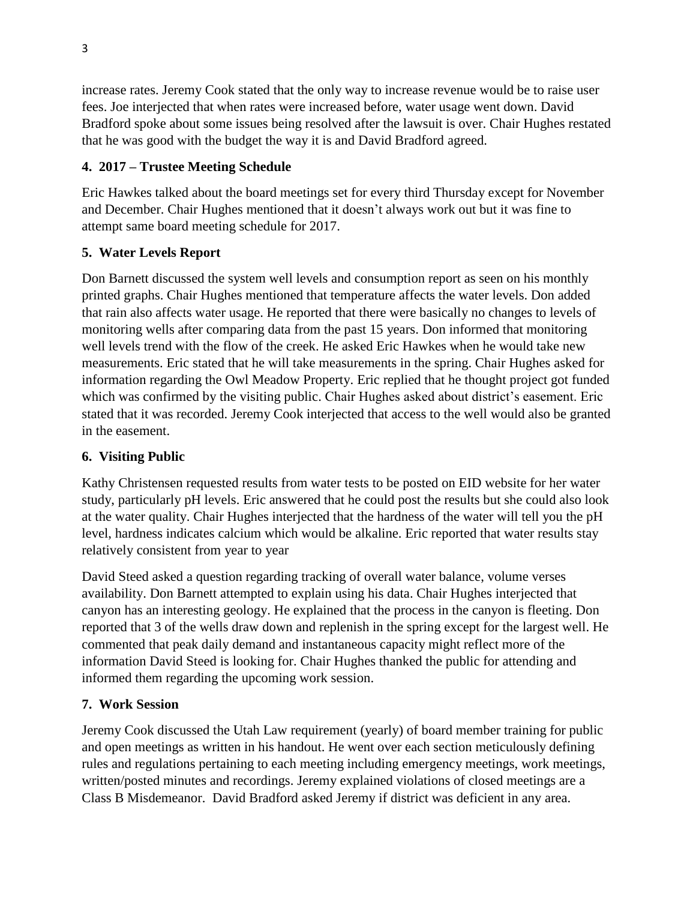increase rates. Jeremy Cook stated that the only way to increase revenue would be to raise user fees. Joe interjected that when rates were increased before, water usage went down. David Bradford spoke about some issues being resolved after the lawsuit is over. Chair Hughes restated that he was good with the budget the way it is and David Bradford agreed.

## **4. 2017 – Trustee Meeting Schedule**

Eric Hawkes talked about the board meetings set for every third Thursday except for November and December. Chair Hughes mentioned that it doesn't always work out but it was fine to attempt same board meeting schedule for 2017.

### **5. Water Levels Report**

Don Barnett discussed the system well levels and consumption report as seen on his monthly printed graphs. Chair Hughes mentioned that temperature affects the water levels. Don added that rain also affects water usage. He reported that there were basically no changes to levels of monitoring wells after comparing data from the past 15 years. Don informed that monitoring well levels trend with the flow of the creek. He asked Eric Hawkes when he would take new measurements. Eric stated that he will take measurements in the spring. Chair Hughes asked for information regarding the Owl Meadow Property. Eric replied that he thought project got funded which was confirmed by the visiting public. Chair Hughes asked about district's easement. Eric stated that it was recorded. Jeremy Cook interjected that access to the well would also be granted in the easement.

#### **6. Visiting Public**

Kathy Christensen requested results from water tests to be posted on EID website for her water study, particularly pH levels. Eric answered that he could post the results but she could also look at the water quality. Chair Hughes interjected that the hardness of the water will tell you the pH level, hardness indicates calcium which would be alkaline. Eric reported that water results stay relatively consistent from year to year

David Steed asked a question regarding tracking of overall water balance, volume verses availability. Don Barnett attempted to explain using his data. Chair Hughes interjected that canyon has an interesting geology. He explained that the process in the canyon is fleeting. Don reported that 3 of the wells draw down and replenish in the spring except for the largest well. He commented that peak daily demand and instantaneous capacity might reflect more of the information David Steed is looking for. Chair Hughes thanked the public for attending and informed them regarding the upcoming work session.

#### **7. Work Session**

Jeremy Cook discussed the Utah Law requirement (yearly) of board member training for public and open meetings as written in his handout. He went over each section meticulously defining rules and regulations pertaining to each meeting including emergency meetings, work meetings, written/posted minutes and recordings. Jeremy explained violations of closed meetings are a Class B Misdemeanor. David Bradford asked Jeremy if district was deficient in any area.